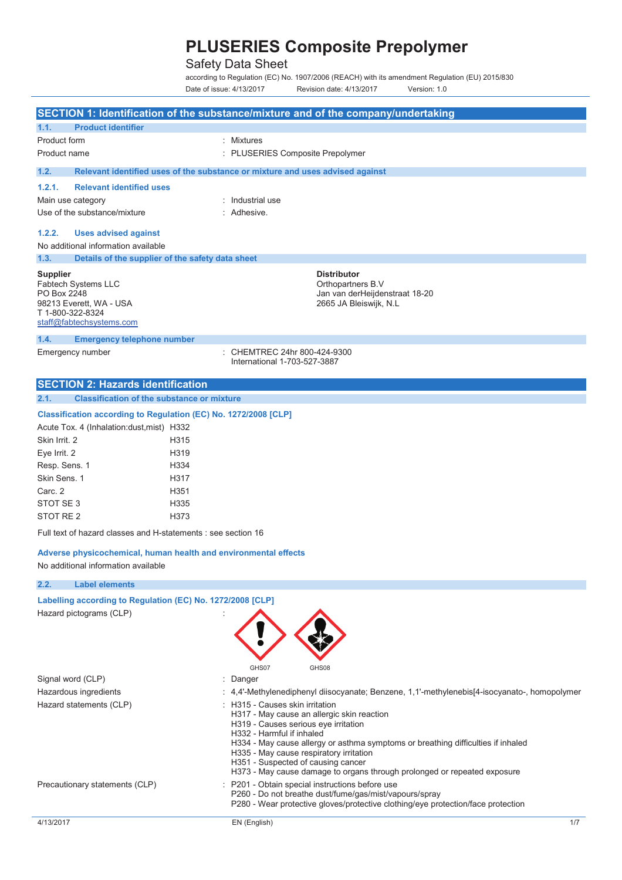## Safety Data Sheet

according to Regulation (EC) No. 1907/2006 (REACH) with its amendment Regulation (EU) 2015/830 Date of issue: 4/13/2017 Revision date: 4/13/2017 Version: 1.0

|                                                                 | SECTION 1: Identification of the substance/mixture and of the company/undertaking                              |
|-----------------------------------------------------------------|----------------------------------------------------------------------------------------------------------------|
| 1.1.<br><b>Product identifier</b>                               |                                                                                                                |
| Product form                                                    | : Mixtures                                                                                                     |
| Product name                                                    | : PLUSERIES Composite Prepolymer                                                                               |
| 1.2.                                                            | Relevant identified uses of the substance or mixture and uses advised against                                  |
| 1.2.1.<br><b>Relevant identified uses</b>                       |                                                                                                                |
| Main use category                                               | : Industrial use                                                                                               |
| Use of the substance/mixture                                    | : Adhesive.                                                                                                    |
|                                                                 |                                                                                                                |
| 1.2.2.<br><b>Uses advised against</b>                           |                                                                                                                |
| No additional information available                             |                                                                                                                |
| 1.3.<br>Details of the supplier of the safety data sheet        |                                                                                                                |
| <b>Supplier</b>                                                 | <b>Distributor</b>                                                                                             |
| Fabtech Systems LLC                                             | Orthopartners B.V                                                                                              |
| PO Box 2248<br>98213 Everett, WA - USA                          | Jan van derHeijdenstraat 18-20<br>2665 JA Bleiswijk, N.L                                                       |
| T 1-800-322-8324                                                |                                                                                                                |
| staff@fabtechsystems.com                                        |                                                                                                                |
| 1.4.<br><b>Emergency telephone number</b>                       |                                                                                                                |
| Emergency number                                                | : CHEMTREC 24hr 800-424-9300                                                                                   |
|                                                                 | International 1-703-527-3887                                                                                   |
| <b>SECTION 2: Hazards identification</b>                        |                                                                                                                |
| 2.1.<br><b>Classification of the substance or mixture</b>       |                                                                                                                |
|                                                                 |                                                                                                                |
| Classification according to Regulation (EC) No. 1272/2008 [CLP] |                                                                                                                |
| Acute Tox. 4 (Inhalation: dust, mist) H332                      |                                                                                                                |
| Skin Irrit. 2<br>H315                                           |                                                                                                                |
| H319<br>Eye Irrit. 2                                            |                                                                                                                |
| H334<br>Resp. Sens. 1                                           |                                                                                                                |
| Skin Sens. 1<br>H317                                            |                                                                                                                |
| Carc. 2<br>H351                                                 |                                                                                                                |
| STOT SE 3<br>H335<br>STOT RE <sub>2</sub>                       |                                                                                                                |
| H373                                                            |                                                                                                                |
| Full text of hazard classes and H-statements : see section 16   |                                                                                                                |
| Adverse physicochemical, human health and environmental effects |                                                                                                                |
| No additional information available                             |                                                                                                                |
| 2.2.<br><b>Label elements</b>                                   |                                                                                                                |
| Labelling according to Regulation (EC) No. 1272/2008 [CLP]      |                                                                                                                |
| Hazard pictograms (CLP)                                         |                                                                                                                |
|                                                                 |                                                                                                                |
|                                                                 |                                                                                                                |
|                                                                 |                                                                                                                |
|                                                                 | GHS07<br>GHS08                                                                                                 |
| Signal word (CLP)                                               | : Danger                                                                                                       |
| Hazardous ingredients                                           | 4,4'-Methylenediphenyl diisocyanate; Benzene, 1,1'-methylenebis[4-isocyanato-, homopolymer                     |
| Hazard statements (CLP)                                         | : H315 - Causes skin irritation                                                                                |
|                                                                 | H317 - May cause an allergic skin reaction                                                                     |
|                                                                 | H319 - Causes serious eye irritation<br>H332 - Harmful if inhaled                                              |
|                                                                 | H334 - May cause allergy or asthma symptoms or breathing difficulties if inhaled                               |
|                                                                 | H335 - May cause respiratory irritation                                                                        |
|                                                                 | H351 - Suspected of causing cancer<br>H373 - May cause damage to organs through prolonged or repeated exposure |
| Precautionary statements (CLP)                                  | : P201 - Obtain special instructions before use                                                                |
|                                                                 | P260 - Do not breathe dust/fume/gas/mist/vapours/spray                                                         |
|                                                                 | P280 - Wear protective gloves/protective clothing/eye protection/face protection                               |
| 4/13/2017                                                       | EN (English)<br>1/7                                                                                            |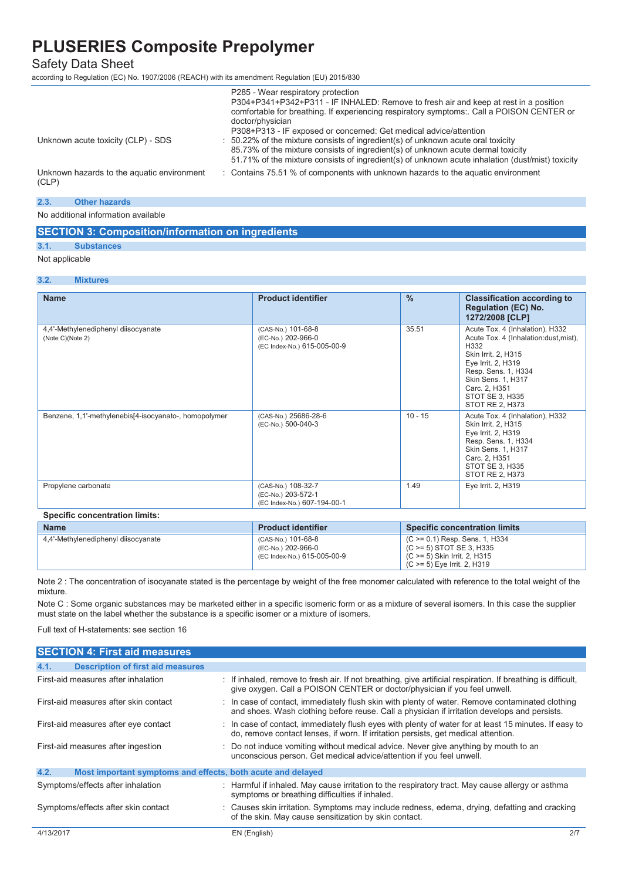### Safety Data Sheet

according to Regulation (EC) No. 1907/2006 (REACH) with its amendment Regulation (EU) 2015/830

|                                                     | P285 - Wear respiratory protection<br>P304+P341+P342+P311 - IF INHALED: Remove to fresh air and keep at rest in a position<br>comfortable for breathing. If experiencing respiratory symptoms:. Call a POISON CENTER or<br>doctor/physician<br>P308+P313 - IF exposed or concerned: Get medical advice/attention |
|-----------------------------------------------------|------------------------------------------------------------------------------------------------------------------------------------------------------------------------------------------------------------------------------------------------------------------------------------------------------------------|
| Unknown acute toxicity (CLP) - SDS                  | $\therefore$ 50.22% of the mixture consists of ingredient(s) of unknown acute oral toxicity<br>85.73% of the mixture consists of ingredient(s) of unknown acute dermal toxicity<br>51.71% of the mixture consists of ingredient(s) of unknown acute inhalation (dust/mist) toxicity                              |
| Unknown hazards to the aquatic environment<br>(CLP) | : Contains 75.51 % of components with unknown hazards to the aguatic environment                                                                                                                                                                                                                                 |

#### **2.3. Other hazards**

No additional information available

#### **SECTION 3: Composition/information on ingredients**

**3.1. Substances** 

#### Not applicable

| <b>TVOL applicable</b> |  |
|------------------------|--|
|                        |  |

| <b>Name</b>                                             | <b>Product identifier</b>                                               | $\frac{9}{6}$ | <b>Classification according to</b><br><b>Regulation (EC) No.</b><br>1272/2008 [CLP]                                                                                                                                               |
|---------------------------------------------------------|-------------------------------------------------------------------------|---------------|-----------------------------------------------------------------------------------------------------------------------------------------------------------------------------------------------------------------------------------|
| 4,4'-Methylenediphenyl diisocyanate<br>(Note C)(Note 2) | (CAS-No.) 101-68-8<br>(EC-No.) 202-966-0<br>(EC Index-No.) 615-005-00-9 | 35.51         | Acute Tox. 4 (Inhalation), H332<br>Acute Tox. 4 (Inhalation:dust, mist),<br>H332<br>Skin Irrit. 2, H315<br>Eye Irrit. 2, H319<br>Resp. Sens. 1, H334<br>Skin Sens. 1, H317<br>Carc. 2, H351<br>STOT SE 3, H335<br>STOT RE 2, H373 |
| Benzene, 1,1'-methylenebis[4-isocyanato-, homopolymer   | (CAS-No.) 25686-28-6<br>(EC-No.) 500-040-3                              | $10 - 15$     | Acute Tox. 4 (Inhalation), H332<br>Skin Irrit. 2, H315<br>Eye Irrit. 2, H319<br>Resp. Sens. 1, H334<br>Skin Sens. 1, H317<br>Carc. 2, H351<br>STOT SE 3, H335<br>STOT RE 2, H373                                                  |
| Propylene carbonate                                     | (CAS-No.) 108-32-7<br>(EC-No.) 203-572-1<br>(EC Index-No.) 607-194-00-1 | 1.49          | Eye Irrit. 2, H319                                                                                                                                                                                                                |

| <b>Name</b>                         | <b>Product identifier</b>                                               | Specific concentration limits                                                                                                   |
|-------------------------------------|-------------------------------------------------------------------------|---------------------------------------------------------------------------------------------------------------------------------|
| 4,4'-Methylenediphenyl diisocyanate | (CAS-No.) 101-68-8<br>(EC-No.) 202-966-0<br>(EC Index-No.) 615-005-00-9 | $(C \ge 0.1)$ Resp. Sens. 1, H334<br>$(C \ge 5)$ STOT SE 3, H335<br>(C >= 5) Skin Irrit. 2, H315<br>(C >= 5) Eye Irrit. 2, H319 |

Note 2 : The concentration of isocyanate stated is the percentage by weight of the free monomer calculated with reference to the total weight of the mixture.

Note C : Some organic substances may be marketed either in a specific isomeric form or as a mixture of several isomers. In this case the supplier must state on the label whether the substance is a specific isomer or a mixture of isomers.

Full text of H-statements: see section 16

**SECTION 4: First aid measures** 

|           | <u>ISEUTIUN 4. FIISI diu measures</u>                       |                                                                                                                                                                                                 |     |
|-----------|-------------------------------------------------------------|-------------------------------------------------------------------------------------------------------------------------------------------------------------------------------------------------|-----|
| 4.1.      | <b>Description of first aid measures</b>                    |                                                                                                                                                                                                 |     |
|           | First-aid measures after inhalation                         | : If inhaled, remove to fresh air. If not breathing, give artificial respiration. If breathing is difficult,<br>give oxygen. Call a POISON CENTER or doctor/physician if you feel unwell.       |     |
|           | First-aid measures after skin contact                       | : In case of contact, immediately flush skin with plenty of water. Remove contaminated clothing<br>and shoes. Wash clothing before reuse. Call a physician if irritation develops and persists. |     |
|           | First-aid measures after eye contact                        | : In case of contact, immediately flush eyes with plenty of water for at least 15 minutes. If easy to<br>do, remove contact lenses, if worn. If irritation persists, get medical attention.     |     |
|           | First-aid measures after ingestion                          | : Do not induce vomiting without medical advice. Never give anything by mouth to an<br>unconscious person. Get medical advice/attention if you feel unwell.                                     |     |
| 4.2.      | Most important symptoms and effects, both acute and delayed |                                                                                                                                                                                                 |     |
|           | Symptoms/effects after inhalation                           | : Harmful if inhaled. May cause irritation to the respiratory tract. May cause allergy or asthma<br>symptoms or breathing difficulties if inhaled.                                              |     |
|           | Symptoms/effects after skin contact                         | : Causes skin irritation. Symptoms may include redness, edema, drying, defatting and cracking<br>of the skin. May cause sensitization by skin contact.                                          |     |
| 4/13/2017 |                                                             | EN (English)                                                                                                                                                                                    | 2/7 |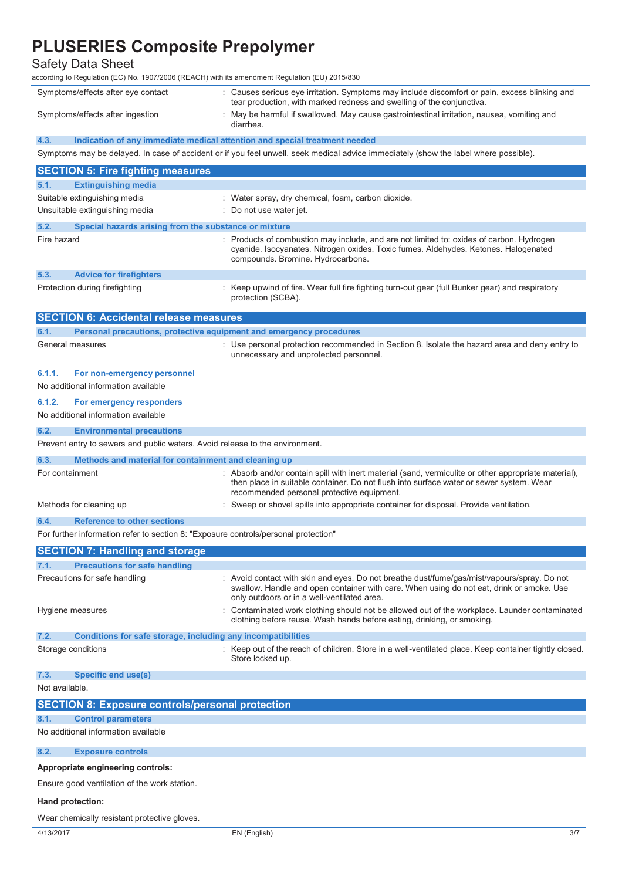## Safety Data Sheet

according to Regulation (EC) No. 1907/2006 (REACH) with its amendment Regulation (EU) 2015/830

| Symptoms/effects after eye contact | : Causes serious eye irritation. Symptoms may include discomfort or pain, excess blinking and<br>tear production, with marked redness and swelling of the conjunctiva. |
|------------------------------------|------------------------------------------------------------------------------------------------------------------------------------------------------------------------|
| Symptoms/effects after ingestion   | May be harmful if swallowed. May cause gastrointestinal irritation, nausea, vomiting and<br>diarrhea.                                                                  |

**4.3. Indication of any immediate medical attention and special treatment needed** 

Symptoms may be delayed. In case of accident or if you feel unwell, seek medical advice immediately (show the label where possible).

| <b>SECTION 5: Fire fighting measures</b>                                            |                                                                                                                                                                                                                                               |
|-------------------------------------------------------------------------------------|-----------------------------------------------------------------------------------------------------------------------------------------------------------------------------------------------------------------------------------------------|
| <b>Extinguishing media</b><br>5.1.                                                  |                                                                                                                                                                                                                                               |
| Suitable extinguishing media                                                        | : Water spray, dry chemical, foam, carbon dioxide.                                                                                                                                                                                            |
| Unsuitable extinguishing media                                                      | Do not use water jet.                                                                                                                                                                                                                         |
| 5.2.<br>Special hazards arising from the substance or mixture                       |                                                                                                                                                                                                                                               |
| Fire hazard                                                                         | : Products of combustion may include, and are not limited to: oxides of carbon. Hydrogen<br>cyanide. Isocyanates. Nitrogen oxides. Toxic fumes. Aldehydes. Ketones. Halogenated<br>compounds. Bromine. Hydrocarbons.                          |
| 5.3.<br><b>Advice for firefighters</b>                                              |                                                                                                                                                                                                                                               |
| Protection during firefighting                                                      | : Keep upwind of fire. Wear full fire fighting turn-out gear (full Bunker gear) and respiratory<br>protection (SCBA).                                                                                                                         |
| <b>SECTION 6: Accidental release measures</b>                                       |                                                                                                                                                                                                                                               |
| Personal precautions, protective equipment and emergency procedures<br>6.1.         |                                                                                                                                                                                                                                               |
| General measures                                                                    | : Use personal protection recommended in Section 8. Isolate the hazard area and deny entry to<br>unnecessary and unprotected personnel.                                                                                                       |
| 6.1.1.<br>For non-emergency personnel                                               |                                                                                                                                                                                                                                               |
| No additional information available                                                 |                                                                                                                                                                                                                                               |
| 6.1.2.<br>For emergency responders<br>No additional information available           |                                                                                                                                                                                                                                               |
| 6.2.<br><b>Environmental precautions</b>                                            |                                                                                                                                                                                                                                               |
| Prevent entry to sewers and public waters. Avoid release to the environment.        |                                                                                                                                                                                                                                               |
| Methods and material for containment and cleaning up<br>6.3.                        |                                                                                                                                                                                                                                               |
| For containment                                                                     | : Absorb and/or contain spill with inert material (sand, vermiculite or other appropriate material),<br>then place in suitable container. Do not flush into surface water or sewer system. Wear<br>recommended personal protective equipment. |
| Methods for cleaning up                                                             | Sweep or shovel spills into appropriate container for disposal. Provide ventilation.                                                                                                                                                          |
| <b>Reference to other sections</b><br>6.4.                                          |                                                                                                                                                                                                                                               |
| For further information refer to section 8: "Exposure controls/personal protection" |                                                                                                                                                                                                                                               |
| <b>SECTION 7: Handling and storage</b>                                              |                                                                                                                                                                                                                                               |
| <b>Precautions for safe handling</b><br>7.1.                                        |                                                                                                                                                                                                                                               |
| Precautions for safe handling                                                       | : Avoid contact with skin and eyes. Do not breathe dust/fume/gas/mist/vapours/spray. Do not<br>swallow. Handle and open container with care. When using do not eat, drink or smoke. Use<br>only outdoors or in a well-ventilated area.        |
| Hygiene measures                                                                    | Contaminated work clothing should not be allowed out of the workplace. Launder contaminated<br>clothing before reuse. Wash hands before eating, drinking, or smoking.                                                                         |
| Conditions for safe storage, including any incompatibilities<br>7.2.                |                                                                                                                                                                                                                                               |
| Storage conditions                                                                  | Keep out of the reach of children. Store in a well-ventilated place. Keep container tightly closed.<br>Store locked up.                                                                                                                       |
| 7.3.<br><b>Specific end use(s)</b>                                                  |                                                                                                                                                                                                                                               |
| Not available.                                                                      |                                                                                                                                                                                                                                               |
| <b>SECTION 8: Exposure controls/personal protection</b>                             |                                                                                                                                                                                                                                               |
| <b>Control parameters</b><br>8.1.                                                   |                                                                                                                                                                                                                                               |
| No additional information available                                                 |                                                                                                                                                                                                                                               |
| 8.2.<br><b>Exposure controls</b>                                                    |                                                                                                                                                                                                                                               |
| Appropriate engineering controls:                                                   |                                                                                                                                                                                                                                               |
| Ensure good ventilation of the work station.                                        |                                                                                                                                                                                                                                               |
| Hand protection:                                                                    |                                                                                                                                                                                                                                               |
| Wear chemically resistant protective gloves.                                        |                                                                                                                                                                                                                                               |
| 4/13/2017                                                                           | EN (English)<br>3/7                                                                                                                                                                                                                           |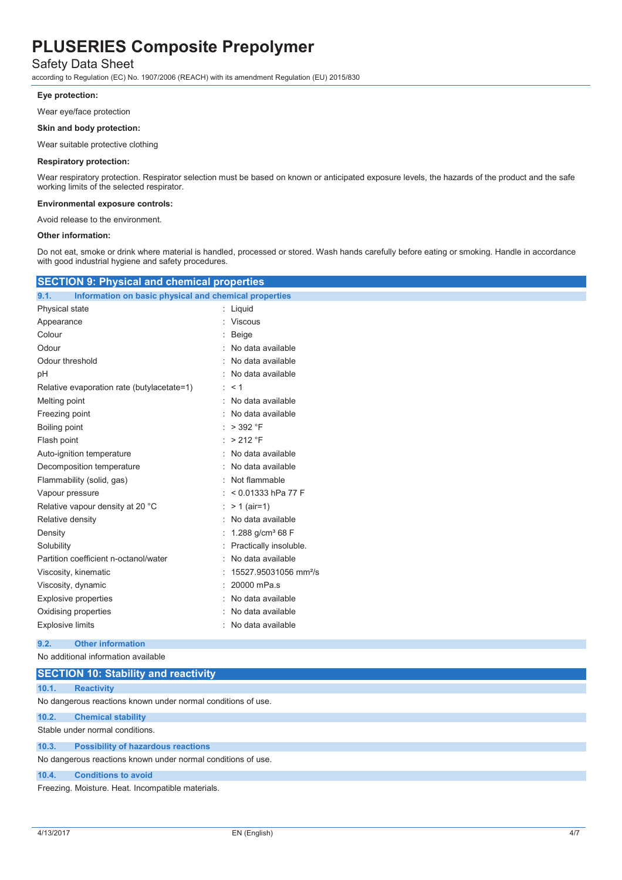### Safety Data Sheet

according to Regulation (EC) No. 1907/2006 (REACH) with its amendment Regulation (EU) 2015/830

#### **Eye protection:**

Wear eye/face protection

#### **Skin and body protection:**

Wear suitable protective clothing

#### **Respiratory protection:**

Wear respiratory protection. Respirator selection must be based on known or anticipated exposure levels, the hazards of the product and the safe working limits of the selected respirator.

#### **Environmental exposure controls:**

Avoid release to the environment.

#### **Other information:**

Do not eat, smoke or drink where material is handled, processed or stored. Wash hands carefully before eating or smoking. Handle in accordance with good industrial hygiene and safety procedures.

| <b>SECTION 9: Physical and chemical properties</b>            |                                   |
|---------------------------------------------------------------|-----------------------------------|
| Information on basic physical and chemical properties<br>9.1. |                                   |
| Physical state                                                | : Liquid                          |
| Appearance                                                    | : Viscous                         |
| Colour                                                        | Beige                             |
| Odour                                                         | No data available                 |
| Odour threshold                                               | No data available                 |
| pH                                                            | : No data available               |
| Relative evaporation rate (butylacetate=1)                    | $\cdot$ < 1                       |
| Melting point                                                 | No data available<br>۰            |
| Freezing point                                                | : No data available               |
| Boiling point                                                 | $>$ 392 °F                        |
| Flash point                                                   | : $> 212$ °F                      |
| Auto-ignition temperature                                     | No data available<br>÷.           |
| Decomposition temperature                                     | No data available                 |
| Flammability (solid, gas)                                     | : Not flammable                   |
| Vapour pressure                                               | $< 0.01333$ hPa 77 F              |
| Relative vapour density at 20 °C                              | : $> 1$ (air=1)                   |
| Relative density                                              | No data available                 |
| Density                                                       | 1.288 g/cm <sup>3</sup> 68 F      |
| Solubility                                                    | Practically insoluble.            |
| Partition coefficient n-octanol/water                         | No data available                 |
| Viscosity, kinematic                                          | 15527.95031056 mm <sup>2</sup> /s |
| Viscosity, dynamic                                            | 20000 mPa.s                       |
| Explosive properties                                          | No data available                 |
| Oxidising properties                                          | No data available                 |
| <b>Explosive limits</b>                                       | : No data available               |
|                                                               |                                   |

#### **9.2. Other information**  No additional information available

|       | <b>SECTION 10: Stability and reactivity</b>                  |
|-------|--------------------------------------------------------------|
| 10.1. | <b>Reactivity</b>                                            |
|       | No dangerous reactions known under normal conditions of use. |
| 10.2. | <b>Chemical stability</b>                                    |
|       | Stable under normal conditions.                              |
| 10.3. | <b>Possibility of hazardous reactions</b>                    |
|       | No dangerous reactions known under normal conditions of use. |
| 10.4. | <b>Conditions to avoid</b>                                   |
|       | Freezing. Moisture. Heat. Incompatible materials.            |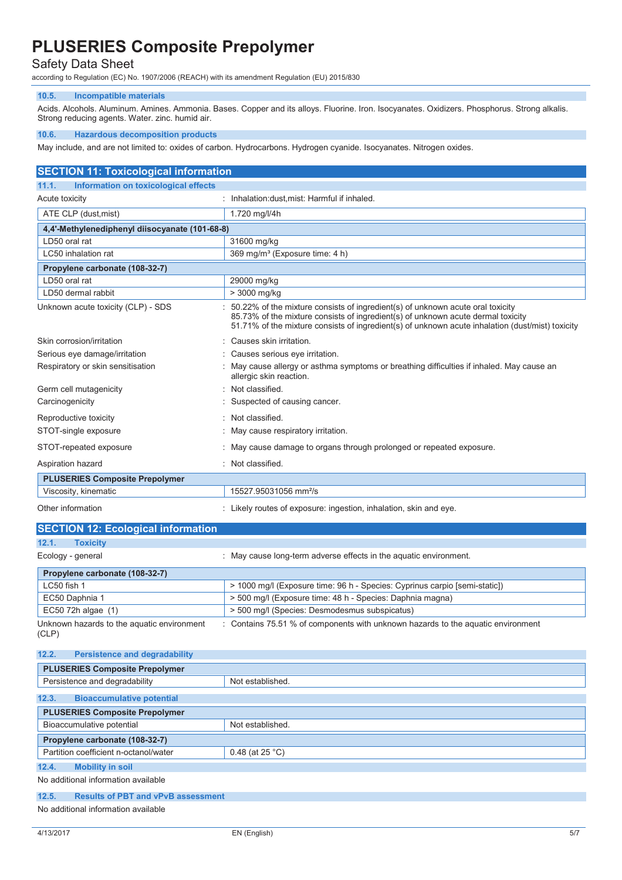### Safety Data Sheet

according to Regulation (EC) No. 1907/2006 (REACH) with its amendment Regulation (EU) 2015/830

#### **10.5. Incompatible materials**

Acids. Alcohols. Aluminum. Amines. Ammonia. Bases. Copper and its alloys. Fluorine. Iron. Isocyanates. Oxidizers. Phosphorus. Strong alkalis. Strong reducing agents. Water. zinc. humid air.

#### **10.6. Hazardous decomposition products**

May include, and are not limited to: oxides of carbon. Hydrocarbons. Hydrogen cyanide. Isocyanates. Nitrogen oxides.

### **SECTION 11: Toxicological information 11.1. Information on toxicological effects**  Acute toxicity **induced and the COV** contract in the inhalation:dust,mist: Harmful if inhaled. ATE CLP (dust, mist) 1.720 mg/l/4h **4,4'-Methylenediphenyl diisocyanate (101-68-8)** LD50 oral rat  $\vert$  31600 mg/kg LC50 inhalation rat <br>
369 mg/m<sup>3</sup> (Exposure time: 4 h) **Propylene carbonate (108-32-7)** LD50 oral rat 29000 mg/kg LD50 dermal rabbit  $\vert$  > 3000 mg/kg Unknown acute toxicity (CLP) - SDS : 50.22% of the mixture consists of ingredient(s) of unknown acute oral toxicity 85.73% of the mixture consists of ingredient(s) of unknown acute dermal toxicity 51.71% of the mixture consists of ingredient(s) of unknown acute inhalation (dust/mist) toxicity Skin corrosion/irritation **interval in the Causes** skin irritation. Serious eye damage/irritation : Causes serious eye irritation. Respiratory or skin sensitisation : May cause allergy or asthma symptoms or breathing difficulties if inhaled. May cause an allergic skin reaction. Germ cell mutagenicity **in the contract of the Contract Contract Contract Contract Contract Contract Contract Contract Contract Contract Contract Contract Contract Contract Contract Contract Contract Contract Contract Cont** Carcinogenicity **Carcinogenicity** : Suspected of causing cancer. Reproductive toxicity **in the contract of the CR**eproductive toxicity STOT-single exposure **in the state of the state of the STOT-single exposure**  $\cdot$  May cause respiratory irritation. STOT-repeated exposure : May cause damage to organs through prolonged or repeated exposure. Aspiration hazard **in the set of the set of the set of the set of the set of the set of the set of the set of the set of the set of the set of the set of the set of the set of the set of the set of the set of the set of th PLUSERIES Composite Prepolymer** Viscosity, kinematic 15527.95031056 mm²/s Other information **contained in the contained in the contained in the contained in the contained of exposure:** ingestion, inhalation, skin and eye.

### **SECTION 12: Ecological information**

| 12.1.<br><b>Toxicity</b>                            |                                                                                  |
|-----------------------------------------------------|----------------------------------------------------------------------------------|
| Ecology - general                                   | May cause long-term adverse effects in the aquatic environment.                  |
| Propylene carbonate (108-32-7)                      |                                                                                  |
| LC50 fish 1                                         | > 1000 mg/l (Exposure time: 96 h - Species: Cyprinus carpio [semi-static])       |
| EC50 Daphnia 1                                      | > 500 mg/l (Exposure time: 48 h - Species: Daphnia magna)                        |
| EC50 72h algae (1)                                  | > 500 mg/l (Species: Desmodesmus subspicatus)                                    |
| Unknown hazards to the aquatic environment<br>(CLP) | : Contains 75.51 % of components with unknown hazards to the aquatic environment |
| 12.2.<br><b>Persistence and degradability</b>       |                                                                                  |
| <b>PLUSERIES Composite Prepolymer</b>               |                                                                                  |
| Persistence and degradability                       | Not established.                                                                 |
| <b>Bioaccumulative potential</b><br>12.3.           |                                                                                  |
| <b>PLUSERIES Composite Prepolymer</b>               |                                                                                  |
| Bioaccumulative potential                           | Not established.                                                                 |
| Propylene carbonate (108-32-7)                      |                                                                                  |
| Partition coefficient n-octanol/water               | 0.48 (at $25 °C$ )                                                               |
| 12.4.<br><b>Mobility in soil</b>                    |                                                                                  |
| No additional information available                 |                                                                                  |

#### **12.5. Results of PBT and vPvB assessment**

No additional information available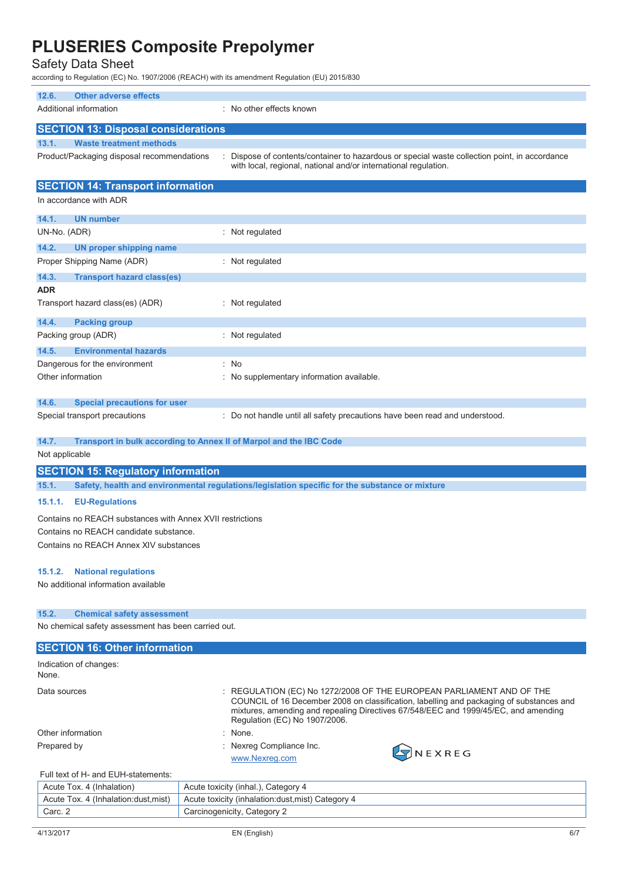Safety Data Sheet

according to Regulation (EC) No. 1907/2006 (REACH) with its amendment Regulation (EU) 2015/830

| 12.6.               | <b>Other adverse effects</b>                                                                                                                  |                                                                                                                                                                                                                                                                                          |
|---------------------|-----------------------------------------------------------------------------------------------------------------------------------------------|------------------------------------------------------------------------------------------------------------------------------------------------------------------------------------------------------------------------------------------------------------------------------------------|
|                     | Additional information                                                                                                                        | No other effects known                                                                                                                                                                                                                                                                   |
|                     | <b>SECTION 13: Disposal considerations</b>                                                                                                    |                                                                                                                                                                                                                                                                                          |
| 13.1.               | <b>Waste treatment methods</b>                                                                                                                |                                                                                                                                                                                                                                                                                          |
|                     | Product/Packaging disposal recommendations                                                                                                    | Dispose of contents/container to hazardous or special waste collection point, in accordance<br>with local, regional, national and/or international regulation.                                                                                                                           |
|                     | <b>SECTION 14: Transport information</b>                                                                                                      |                                                                                                                                                                                                                                                                                          |
|                     | In accordance with ADR                                                                                                                        |                                                                                                                                                                                                                                                                                          |
| 14.1.               | <b>UN number</b>                                                                                                                              |                                                                                                                                                                                                                                                                                          |
| UN-No. (ADR)        |                                                                                                                                               | : Not regulated                                                                                                                                                                                                                                                                          |
| 14.2.               | <b>UN proper shipping name</b>                                                                                                                |                                                                                                                                                                                                                                                                                          |
|                     | Proper Shipping Name (ADR)                                                                                                                    | : Not regulated                                                                                                                                                                                                                                                                          |
| 14.3.<br><b>ADR</b> | <b>Transport hazard class(es)</b>                                                                                                             |                                                                                                                                                                                                                                                                                          |
|                     | Transport hazard class(es) (ADR)                                                                                                              | : Not regulated                                                                                                                                                                                                                                                                          |
| 14.4.               | <b>Packing group</b>                                                                                                                          |                                                                                                                                                                                                                                                                                          |
|                     | Packing group (ADR)                                                                                                                           | : Not regulated                                                                                                                                                                                                                                                                          |
| 14.5.               | <b>Environmental hazards</b><br>Dangerous for the environment                                                                                 | ÷.<br>No                                                                                                                                                                                                                                                                                 |
| Other information   |                                                                                                                                               | No supplementary information available.                                                                                                                                                                                                                                                  |
|                     |                                                                                                                                               |                                                                                                                                                                                                                                                                                          |
| 14.6.               | <b>Special precautions for user</b>                                                                                                           |                                                                                                                                                                                                                                                                                          |
|                     | Special transport precautions                                                                                                                 | : Do not handle until all safety precautions have been read and understood.                                                                                                                                                                                                              |
| 14.7.               | Transport in bulk according to Annex II of Marpol and the IBC Code                                                                            |                                                                                                                                                                                                                                                                                          |
| Not applicable      |                                                                                                                                               |                                                                                                                                                                                                                                                                                          |
|                     | <b>SECTION 15: Regulatory information</b>                                                                                                     |                                                                                                                                                                                                                                                                                          |
| 15.1.               |                                                                                                                                               | Safety, health and environmental regulations/legislation specific for the substance or mixture                                                                                                                                                                                           |
| 15.1.1.             | <b>EU-Regulations</b>                                                                                                                         |                                                                                                                                                                                                                                                                                          |
|                     | Contains no REACH substances with Annex XVII restrictions<br>Contains no REACH candidate substance.<br>Contains no REACH Annex XIV substances |                                                                                                                                                                                                                                                                                          |
|                     |                                                                                                                                               |                                                                                                                                                                                                                                                                                          |
| 15.1.2.             | <b>National regulations</b>                                                                                                                   |                                                                                                                                                                                                                                                                                          |
|                     | No additional information available                                                                                                           |                                                                                                                                                                                                                                                                                          |
| 15.2.               | <b>Chemical safety assessment</b>                                                                                                             |                                                                                                                                                                                                                                                                                          |
|                     | No chemical safety assessment has been carried out.                                                                                           |                                                                                                                                                                                                                                                                                          |
|                     |                                                                                                                                               |                                                                                                                                                                                                                                                                                          |
|                     | <b>SECTION 16: Other information</b>                                                                                                          |                                                                                                                                                                                                                                                                                          |
| None.               | Indication of changes:                                                                                                                        |                                                                                                                                                                                                                                                                                          |
| Data sources        |                                                                                                                                               | : REGULATION (EC) No 1272/2008 OF THE EUROPEAN PARLIAMENT AND OF THE<br>COUNCIL of 16 December 2008 on classification, labelling and packaging of substances and<br>mixtures, amending and repealing Directives 67/548/EEC and 1999/45/EC, and amending<br>Regulation (EC) No 1907/2006. |
| Other information   |                                                                                                                                               | : None.                                                                                                                                                                                                                                                                                  |

### Full text of H- and EUH-statements:

| Acute Tox. 4 (Inhalation)            | Acute toxicity (inhal.), Category 4                |  |  |
|--------------------------------------|----------------------------------------------------|--|--|
| Acute Tox. 4 (Inhalation: dust.mist) | Acute toxicity (inhalation: dust, mist) Category 4 |  |  |
| Carc. 2                              | Carcinogenicity, Category 2                        |  |  |
|                                      |                                                    |  |  |